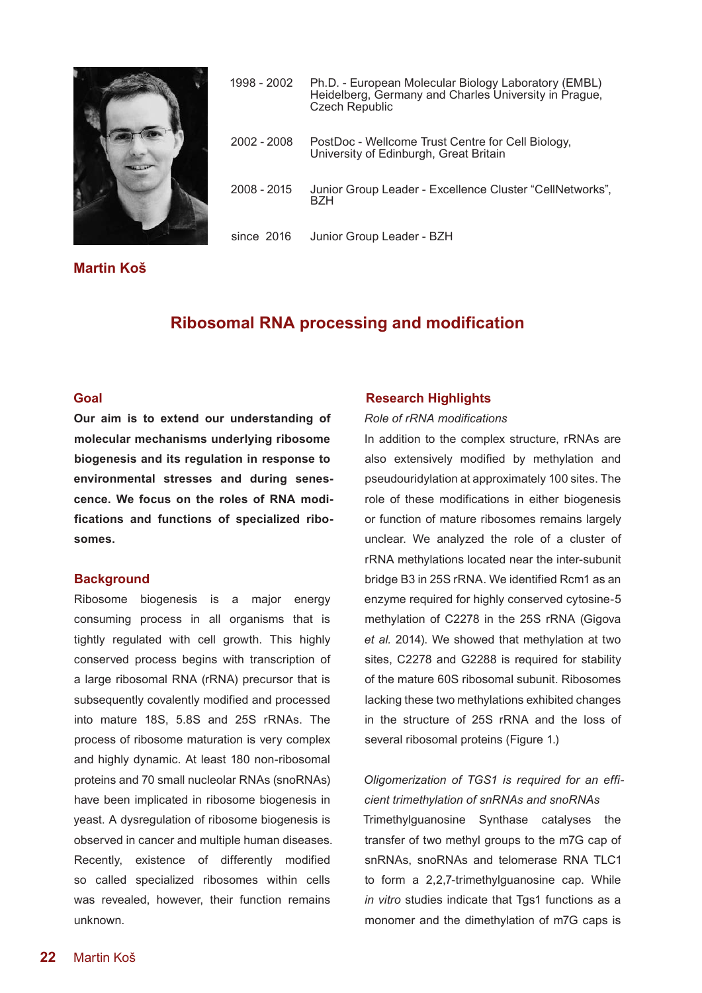

# 1998 - 2002 Ph.D. - European Molecular Biology Laboratory (EMBL) Heidelberg, Germany and Charles University in Prague, Czech Republic 2002 - 2008 PostDoc - Wellcome Trust Centre for Cell Biology, University of Edinburgh, Great Britain 2008 - 2015 Junior Group Leader - Excellence Cluster "CellNetworks", BZH since 2016 Junior Group Leader - BZH

**Martin Koš**

## **Ribosomal RNA processing and modification**

#### **Goal**

**Our aim is to extend our understanding of molecular mechanisms underlying ribosome biogenesis and its regulation in response to environmental stresses and during senescence. We focus on the roles of RNA modifications and functions of specialized ribosomes.**

#### **Background**

Ribosome biogenesis is a major energy consuming process in all organisms that is tightly regulated with cell growth. This highly conserved process begins with transcription of a large ribosomal RNA (rRNA) precursor that is subsequently covalently modified and processed into mature 18S, 5.8S and 25S rRNAs. The process of ribosome maturation is very complex and highly dynamic. At least 180 non-ribosomal proteins and 70 small nucleolar RNAs (snoRNAs) have been implicated in ribosome biogenesis in yeast. A dysregulation of ribosome biogenesis is observed in cancer and multiple human diseases. Recently, existence of differently modified so called specialized ribosomes within cells was revealed, however, their function remains unknown.

#### **Research Highlights**

#### *Role of rRNA modifications*

In addition to the complex structure, rRNAs are also extensively modified by methylation and pseudouridylation at approximately 100 sites. The role of these modifications in either biogenesis or function of mature ribosomes remains largely unclear. We analyzed the role of a cluster of rRNA methylations located near the inter-subunit bridge B3 in 25S rRNA. We identified Rcm1 as an enzyme required for highly conserved cytosine-5 methylation of C2278 in the 25S rRNA (Gigova *et al.* 2014). We showed that methylation at two sites, C2278 and G2288 is required for stability of the mature 60S ribosomal subunit. Ribosomes lacking these two methylations exhibited changes in the structure of 25S rRNA and the loss of several ribosomal proteins (Figure 1.)

## *Oligomerization of TGS1 is required for an efficient trimethylation of snRNAs and snoRNAs*

Trimethylguanosine Synthase catalyses the transfer of two methyl groups to the m7G cap of snRNAs, snoRNAs and telomerase RNA TLC1 to form a 2,2,7-trimethylguanosine cap. While *in vitro* studies indicate that Tgs1 functions as a monomer and the dimethylation of m7G caps is